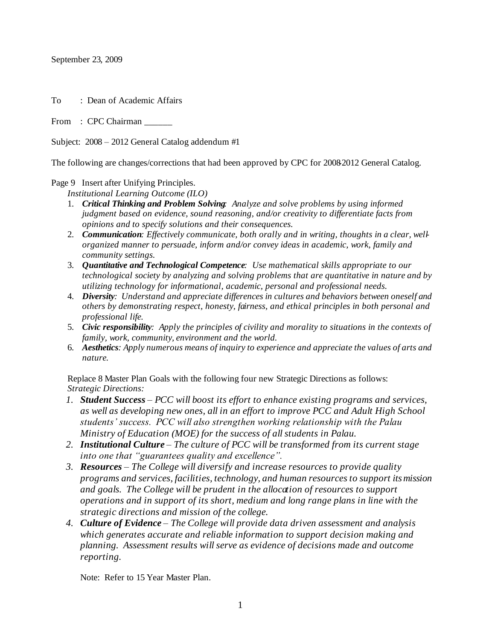September 23, 2009

To : Dean of Academic Affairs

From : CPC Chairman

Subject: 2008 – 2012 General Catalog addendum #1

The following are changes/corrections that had been approved by CPC for 2008-2012 General Catalog.

Page 9 Insert after Unifying Principles.

*Institutional Learning Outcome (ILO)*

- 1. *Critical Thinking and Problem Solving: Analyze and solve problems by using informed judgment based on evidence, sound reasoning, and/or creativity to differentiate facts from opinions and to specify solutions and their consequences.*
- 2. *Communication: Effectively communicate, both orally and in writing, thoughts in a clear, wellorganized manner to persuade, inform and/or convey ideas in academic, work, family and community settings.*
- 3. *Quantitative and Technological Competence: Use mathematical skills appropriate to our technological society by analyzing and solving problems that are quantitative in nature and by utilizing technology for informational, academic, personal and professional needs.*
- 4. *Diversity: Understand and appreciate differences in cultures and behaviors between oneself and others by demonstrating respect, honesty, fairness, and ethical principles in both personal and professional life.*
- 5. *Civic responsibility: Apply the principles of civility and morality to situations in the contexts of family, work, community, environment and the world.*
- 6. *Aesthetics: Apply numerous means of inquiry to experience and appreciate the values of arts and nature.*

 Replace 8 Master Plan Goals with the following four new Strategic Directions as follows: *Strategic Directions:*

- *1. Student Success – PCC will boost its effort to enhance existing programs and services, as well as developing new ones, all in an effort to improve PCC and Adult High School students' success. PCC will also strengthen working relationship with the Palau Ministry of Education (MOE) for the success of all students in Palau.*
- *2. Institutional Culture – The culture of PCC will be transformed from its current stage into one that "guarantees quality and excellence".*
- *3. Resources – The College will diversify and increase resources to provide quality programs and services, facilities, technology, and human resources to support its mission and goals. The College will be prudent in the allocation of resources to support operations and in support of its short, medium and long range plans in line with the strategic directions and mission of the college.*
- *4. Culture of Evidence – The College will provide data driven assessment and analysis which generates accurate and reliable information to support decision making and planning. Assessment results will serve as evidence of decisions made and outcome reporting.*

Note: Refer to 15 Year Master Plan.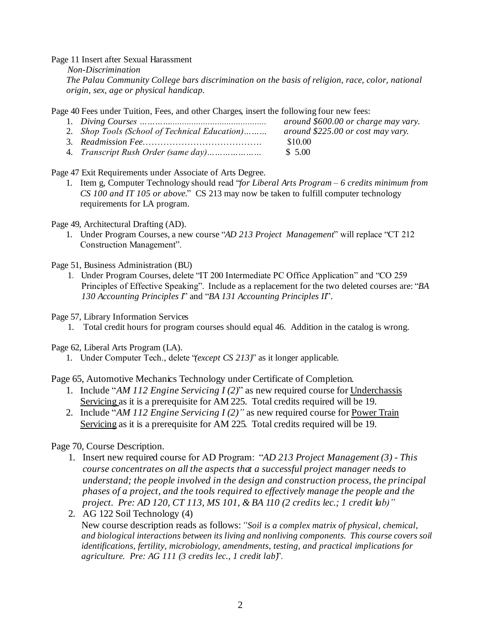Page 11 Insert after Sexual Harassment

 *Non-Discrimination The Palau Community College bars discrimination on the basis of religion, race, color, national origin, sex, age or physical handicap.*

Page 40 Fees under Tuition, Fees, and other Charges, insert the following four new fees:

- 1. *Diving Courses …………......................................... around \$600.00 or charge may vary.* 2. *Shop Tools (School of Technical Education)……… around \$225.00 or cost may vary*.
- 3. *Readmission Fee*…………………………………. \$10.00
- 4. *Transcript Rush Order (same day)…………………* \$ 5.00

Page 47 Exit Requirements under Associate of Arts Degree.

1. Item g, Computer Technology should read "*for Liberal Arts Program – 6 credits minimum from CS 100 and IT 105 or above.*" CS 213 may now be taken to fulfill computer technology requirements for LA program.

Page 49, Architectural Drafting (AD).

1. Under Program Courses, a new course "*AD 213 Project Management*" will replace "CT 212 Construction Management".

Page 51, Business Administration (BU)

 1. Under Program Courses, delete "IT 200 Intermediate PC Office Application" and "CO 259 Principles of Effective Speaking". Include as a replacement for the two deleted courses are: "*BA 130 Accounting Principles I*" and "*BA 131 Accounting Principles II*".

Page 57, Library Information Services

1. Total credit hours for program courses should equal 46. Addition in the catalog is wrong.

Page 62, Liberal Arts Program (LA).

1. Under Computer Tech., delete "*(except CS 213)*" as it longer applicable.

Page 65, Automotive Mechanics Technology under Certificate of Completion.

- 1. Include "*AM 112 Engine Servicing I (2)*" as new required course for Underchassis Servicing as it is a prerequisite for AM 225. Total credits required will be 19.
- 2. Include "*AM 112 Engine Servicing I (2)"* as new required course for Power Train Servicing as it is a prerequisite for AM 225. Total credits required will be 19.

Page 70, Course Description.

- 1. Insert new required course for AD Program: "*AD 213 Project Management (3) This course concentrates on all the aspects that a successful project manager needs to understand; the people involved in the design and construction process, the principal phases of a project, and the tools required to effectively manage the people and the project. Pre: AD 120, CT 113, MS 101, & BA 110 (2 credits lec.; 1 credit lab)"*
- 2. AG 122 Soil Technology (4) New course description reads as follows: *"Soil is a complex matrix of physical, chemical, and biological interactions between its living and nonliving components. This course covers soil identifications, fertility, microbiology, amendments, testing, and practical implications for agriculture. Pre: AG 111 (3 credits lec., 1 credit lab)*".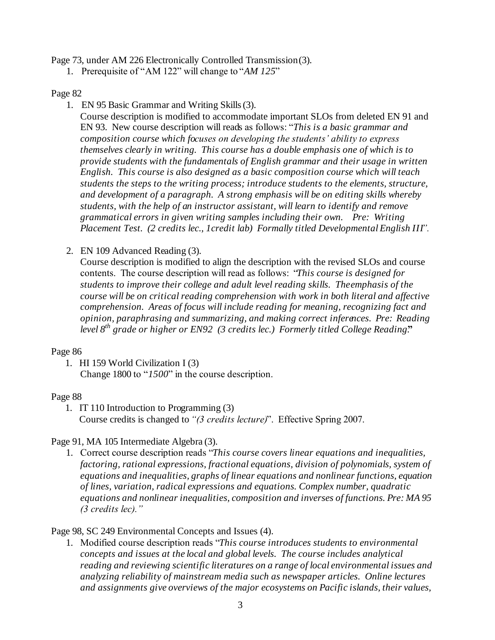Page 73, under AM 226 Electronically Controlled Transmission (3).

1. Prerequisite of "AM 122" will change to "*AM 125*"

### Page 82

1. EN 95 Basic Grammar and Writing Skills (3).

Course description is modified to accommodate important SLOs from deleted EN 91 and EN 93. New course description will reads as follows: "*This is a basic grammar and composition course which focuses on developing the students' ability to express themselves clearly in writing. This course has a double emphasis one of which is to provide students with the fundamentals of English grammar and their usage in written English. This course is also designed as a basic composition course which will teach students the steps to the writing process; introduce students to the elements, structure, and development of a paragraph. A strong emphasis will be on editing skills whereby students, with the help of an instructor assistant, will learn to identify and remove grammatical errors in given writing samples including their own. Pre: Writing Placement Test. (2 credits lec., 1credit lab) Formally titled Developmental English III".*

2. EN 109 Advanced Reading (3).

Course description is modified to align the description with the revised SLOs and course contents. The course description will read as follows: "*This course is designed for students to improve their college and adult level reading skills. The emphasis of the course will be on critical reading comprehension with work in both literal and affective comprehension. Areas of focus will include reading for meaning, recognizing fact and opinion, paraphrasing and summarizing, and making correct inferences. Pre: Reading level 8th grade or higher or EN92 (3 credits lec.) Formerly titled College Reading.***"**

### Page 86

1. HI 159 World Civilization I (3)

Change 1800 to "*1500*" in the course description.

# Page 88

 1. IT 110 Introduction to Programming (3) Course credits is changed to *"(3 credits lecture)*". Effective Spring 2007.

# Page 91, MA 105 Intermediate Algebra (3).

1. Correct course description reads "*This course covers linear equations and inequalities, factoring, rational expressions, fractional equations, division of polynomials, system of equations and inequalities, graphs of linear equations and nonlinear functions, equation of lines, variation, radical expressions and equations. Complex number, quadratic equations and nonlinear inequalities, composition and inverses of functions. Pre: MA 95 (3 credits lec)."*

# Page 98, SC 249 Environmental Concepts and Issues (4).

1. Modified course description reads "*This course introduces students to environmental concepts and issues at the local and global levels. The course includes analytical reading and reviewing scientific literatures on a range of local environmental issues and analyzing reliability of mainstream media such as newspaper articles. Online lectures and assignments give overviews of the major ecosystems on Pacific islands, their values,*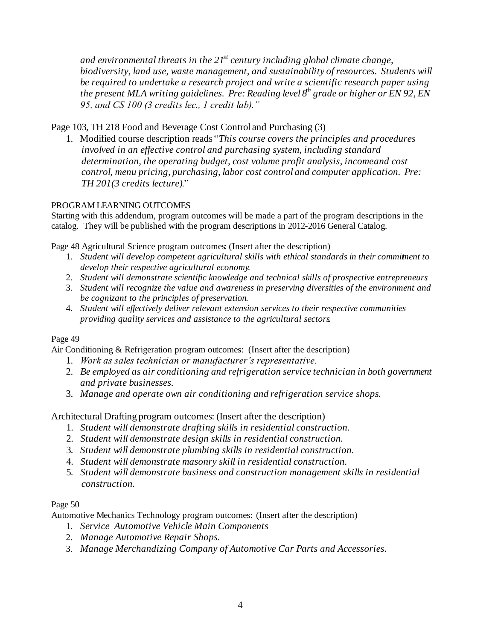*and environmental threats in the 21st century including global climate change, biodiversity, land use, waste management, and sustainability of resources. Students will be required to undertake a research project and write a scientific research paper using the present MLA writing guidelines. Pre: Reading level 8th grade or higher or EN 92, EN 95, and CS 100 (3 credits lec., 1 credit lab)."* 

# Page 103, TH 218 Food and Beverage Cost Control and Purchasing (3)

1. Modified course description reads "*This course covers the principles and procedures involved in an effective control and purchasing system, including standard determination, the operating budget, cost volume profit analysis, income and cost control, menu pricing, purchasing, labor cost control and computer application. Pre: TH 201(3 credits lecture)*."

### PROGRAM LEARNING OUTCOMES

Starting with this addendum, program outcomes will be made a part of the program descriptions in the catalog. They will be published with the program descriptions in 2012-2016 General Catalog.

Page 48 Agricultural Science program outcomes: (Insert after the description)

- 1. *Student will develop competent agricultural skills with ethical standards in their commitment to develop their respective agricultural economy*.
- 2. *Student will demonstrate scientific knowledge and technical skills of prospective entrepreneurs*.
- 3. *Student will recognize the value and awareness in preserving diversities of the environment and be cognizant to the principles of preservation*.
- 4. *Student will effectively deliver relevant extension services to their respective communities providing quality services and assistance to the agricultural sectors*.

#### Page 49

Air Conditioning & Refrigeration program outcomes: (Insert after the description)

- 1. *Work as sales technician or manufacturer's representative.*
- 2. *Be employed as air conditioning and refrigeration service technician in both government and private businesses.*
- 3. *Manage and operate own air conditioning and refrigeration service shops*.

Architectural Drafting program outcomes: (Insert after the description)

- 1. *Student will demonstrate drafting skills in residential construction.*
- 2. *Student will demonstrate design skills in residential construction.*
- 3*. Student will demonstrate plumbing skills in residential construction.*
- 4. *Student will demonstrate masonry skill in residential construction.*
- 5*. Student will demonstrate business and construction management skills in residential construction.*

#### Page 50

Automotive Mechanics Technology program outcomes: (Insert after the description)

- 1. *Service Automotive Vehicle Main Components*
- 2. *Manage Automotive Repair Shops.*
- 3. *Manage Merchandizing Company of Automotive Car Parts and Accessories.*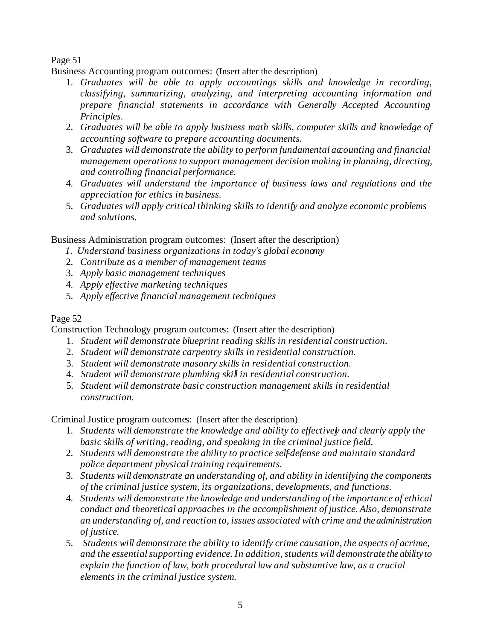# Page 51

Business Accounting program outcomes: (Insert after the description)

- 1. *Graduates will be able to apply accountings skills and knowledge in recording, classifying, summarizing, analyzing, and interpreting accounting information and prepare financial statements in accordance with Generally Accepted Accounting Principles.*
- 2. *Graduates will be able to apply business math skills, computer skills and knowledge of accounting software to prepare accounting documents.*
- 3. Graduates will demonstrate the ability to perform fundamental accounting and financial *management operations to support management decision making in planning, directing, and controlling financial performance.*
- 4. *Graduates will understand the importance of business laws and regulations and the appreciation for ethics in business.*
- 5. *Graduates will apply critical thinking skills to identify and analyze economic problems and solutions.*

Business Administration program outcomes: (Insert after the description)

- *1. Understand business organizations in today's global economy*
- 2. *Contribute as a member of management teams*
- 3. *Apply basic management techniques*
- 4. *Apply effective marketing techniques*
- 5. *Apply effective financial management techniques*

# Page 52

Construction Technology program outcomes: (Insert after the description)

- 1. *Student will demonstrate blueprint reading skills in residential construction.*
- 2. *Student will demonstrate carpentry skills in residential construction.*
- 3. *Student will demonstrate masonry skills in residential construction.*
- 4. *Student will demonstrate plumbing skill in residential construction.*
- 5. *Student will demonstrate basic construction management skills in residential construction.*

Criminal Justice program outcomes: (Insert after the description)

- 1. *Students will demonstrate the knowledge and ability to effectively and clearly apply the basic skills of writing, reading, and speaking in the criminal justice field.*
- 2. *Students will demonstrate the ability to practice self-defense and maintain standard police department physical training requirements.*
- 3. *Students will demonstrate an understanding of, and ability in identifying the components of the criminal justice system, its organizations, developments, and functions.*
- 4. *Students will demonstrate the knowledge and understanding of the importance of ethical conduct and theoretical approaches in the accomplishment of justice. Also, demonstrate an understanding of, and reaction to, issues associated with crime and the administration of justice.*
- 5. Students will demonstrate the ability to identify crime causation, the aspects of acrime, *and the essential supporting evidence. In addition, students will demonstrate the ability to explain the function of law, both procedural law and substantive law, as a crucial elements in the criminal justice system.*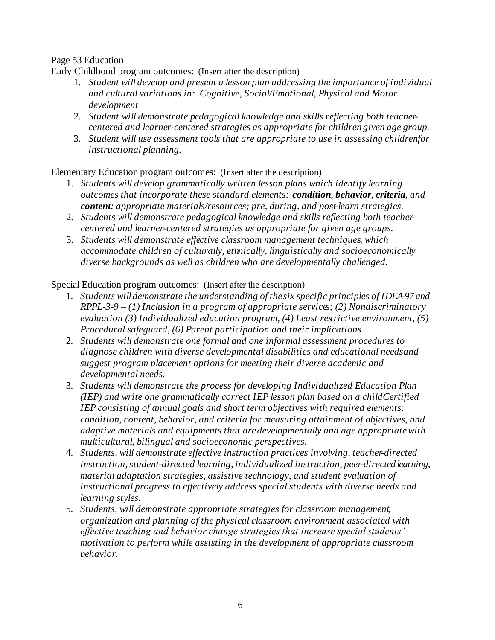# Page 53 Education

Early Childhood program outcomes: (Insert after the description)

- 1. *Student will develop and present a lesson plan addressing the importance of individual and cultural variations in: Cognitive, Social/Emotional, Physical and Motor development*
- 2. *Student will demonstrate pedagogical knowledge and skills reflecting both teachercentered and learner-centered strategies as appropriate for children given age group.*
- 3. *Student will use assessment tools that are appropriate to use in assessing childrenfor instructional planning.*

Elementary Education program outcomes: (Insert after the description)

- 1. *Students will develop grammatically written lesson plans which identify learning outcomes that incorporate these standard elements: condition, behavior, criteria, and content; appropriate materials/resources; pre, during, and post-learn strategies.*
- 2. *Students will demonstrate pedagogical knowledge and skills reflecting both teachercentered and learner-centered strategies as appropriate for given age groups.*
- 3. *Students will demonstrate effective classroom management techniques, which accommodate children of culturally, ethnically, linguistically and socioeconomically diverse backgrounds as well as children who are developmentally challenged.*

Special Education program outcomes: (Insert after the description)

- 1. *Students will demonstrate the understanding of the six specific principles of IDEA-97 and RPPL-3-9 – (1) Inclusion in a program of appropriate services; (2) Nondiscriminatory evaluation (3) Individualized education program, (4) Least restrictive environment, (5) Procedural safeguard, (6) Parent participation and their implications*.
- 2. *Students will demonstrate one formal and one informal assessment procedures to diagnose children with diverse developmental disabilities and educational needs and suggest program placement options for meeting their diverse academic and developmental needs.*
- 3. *Students will demonstrate the process for developing Individualized Education Plan (IEP) and write one grammatically correct IEP lesson plan based on a child Certified IEP consisting of annual goals and short term objectives with required elements: condition, content, behavior, and criteria for measuring attainment of objectives, and adaptive materials and equipments that are developmentally and age appropriate with multicultural, bilingual and socioeconomic perspectives.*
- 4. *Students, will demonstrate effective instruction practices involving, teacher-directed instruction, student-directed learning, individualized instruction, peer-directed learning, material adaptation strategies, assistive technology, and student evaluation of instructional progress to effectively address special students with diverse needs and learning styles.*
- 5. *Students, will demonstrate appropriate strategies for classroom management, organization and planning of the physical classroom environment associated with effective teaching and behavior change strategies that increase special students' motivation to perform while assisting in the development of appropriate classroom behavior.*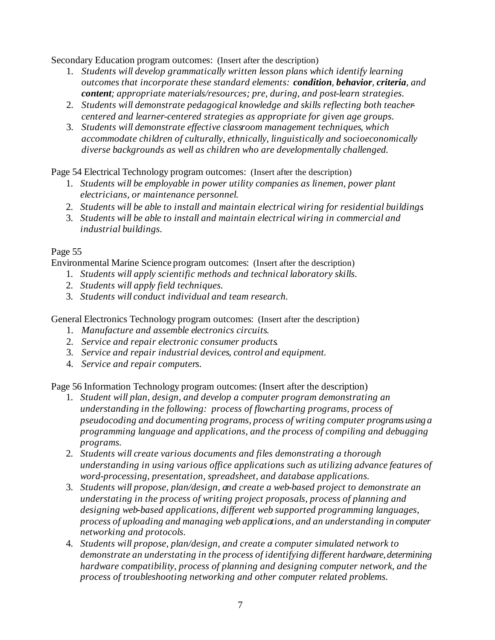Secondary Education program outcomes: (Insert after the description)

- 1. *Students will develop grammatically written lesson plans which identify learning outcomes that incorporate these standard elements: condition, behavior, criteria, and content; appropriate materials/resources; pre, during, and post-learn strategies.*
- 2. *Students will demonstrate pedagogical knowledge and skills reflecting both teachercentered and learner-centered strategies as appropriate for given age groups.*
- 3. *Students will demonstrate effective classroom management techniques, which accommodate children of culturally, ethnically, linguistically and socioeconomically diverse backgrounds as well as children who are developmentally challenged.*

Page 54 Electrical Technology program outcomes: (Insert after the description)

- 1. *Students will be employable in power utility companies as linemen, power plant electricians, or maintenance personnel.*
- 2. *Students will be able to install and maintain electrical wiring for residential buildings.*
- 3. *Students will be able to install and maintain electrical wiring in commercial and industrial buildings.*

# Page 55

Environmental Marine Science program outcomes: (Insert after the description)

- 1. *Students will apply scientific methods and technical laboratory skills.*
- 2. *Students will apply field techniques.*
- 3. *Students will conduct individual and team research.*

General Electronics Technology program outcomes: (Insert after the description)

- 1. *Manufacture and assemble electronics circuits.*
- 2. *Service and repair electronic consumer products.*
- 3. *Service and repair industrial devices, control and equipment.*
- 4. *Service and repair computers.*

Page 56 Information Technology program outcomes: (Insert after the description)

- 1. *Student will plan, design, and develop a computer program demonstrating an understanding in the following: process of flowcharting programs, process of pseudocoding and documenting programs, process of writing computer programs using a programming language and applications, and the process of compiling and debugging programs.*
- 2. *Students will create various documents and files demonstrating a thorough understanding in using various office applications such as utilizing advance features of word-processing, presentation, spreadsheet, and database applications.*
- 3. *Students will propose, plan/design, and create a web-based project to demonstrate an understating in the process of writing project proposals, process of planning and designing web-based applications, different web supported programming languages, process of uploading and managing web applications, and an understanding in computer networking and protocols.*
- 4. *Students will propose, plan/design, and create a computer simulated network to demonstrate an understating in the process of identifying different hardware, determining hardware compatibility, process of planning and designing computer network, and the process of troubleshooting networking and other computer related problems.*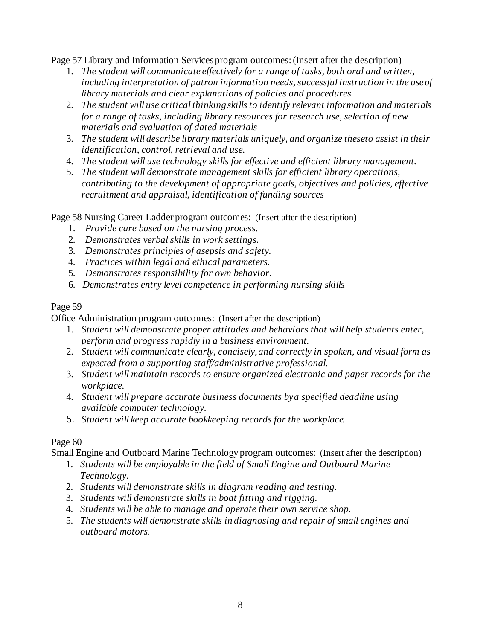Page 57 Library and Information Services program outcomes: (Insert after the description)

- 1. *The student will communicate effectively for a range of tasks, both oral and written,*  including interpretation of patron information needs, successful instruction in the use of *library materials and clear explanations of policies and procedures*
- 2. *The student will use critical thinking skills to identify relevant information and materials for a range of tasks, including library resources for research use, selection of new materials and evaluation of dated materials*
- 3. The student will describe library materials uniquely, and organize theseto assist in their *identification, control, retrieval and use.*
- 4. *The student will use technology skills for effective and efficient library management.*
- 5. *The student will demonstrate management skills for efficient library operations, contributing to the development of appropriate goals, objectives and policies, effective recruitment and appraisal, identification of funding sources*

Page 58 Nursing Career Ladder program outcomes: (Insert after the description)

- 1. *Provide care based on the nursing process.*
- 2. *Demonstrates verbal skills in work settings.*
- 3. *Demonstrates principles of asepsis and safety.*
- 4. *Practices within legal and ethical parameters.*
- 5. *Demonstrates responsibility for own behavior.*
- 6. *Demonstrates entry level competence in performing nursing skills.*

### Page 59

Office Administration program outcomes: (Insert after the description)

- 1. *Student will demonstrate proper attitudes and behaviors that will help students enter, perform and progress rapidly in a business environment.*
- 2. *Student will communicate clearly, concisely, and correctly in spoken, and visual form as expected from a supporting staff/administrative professional.*
- 3. *Student will maintain records to ensure organized electronic and paper records for the workplace.*
- 4. *Student will prepare accurate business documents by a specified deadline using available computer technology.*
- 5. *Student will keep accurate bookkeeping records for the workplace.*

# Page 60

Small Engine and Outboard Marine Technology program outcomes: (Insert after the description)

- 1. *Students will be employable in the field of Small Engine and Outboard Marine Technology.*
- 2. *Students will demonstrate skills in diagram reading and testing.*
- 3. *Students will demonstrate skills in boat fitting and rigging.*
- 4. *Students will be able to manage and operate their own service shop.*
- 5. *The students will demonstrate skills in diagnosing and repair of small engines and outboard motors.*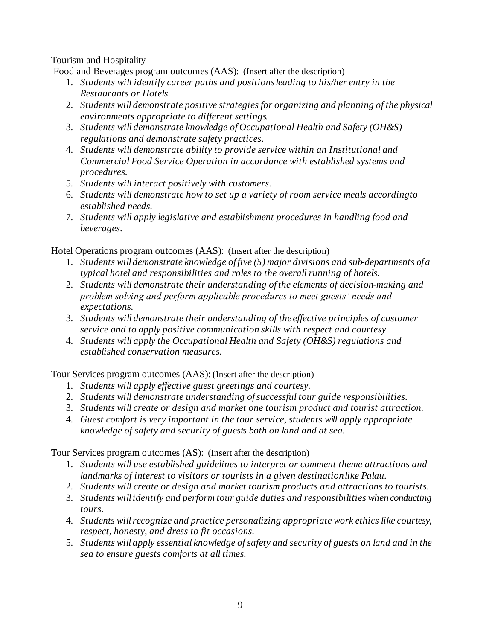Tourism and Hospitality

Food and Beverages program outcomes (AAS): (Insert after the description)

- 1. *Students will identify career paths and positions leading to his/her entry in the Restaurants or Hotels.*
- 2. *Students will demonstrate positive strategies for organizing and planning of the physical environments appropriate to different settings.*
- 3. *Students will demonstrate knowledge of Occupational Health and Safety (OH&S) regulations and demonstrate safety practices.*
- 4. *Students will demonstrate ability to provide service within an Institutional and Commercial Food Service Operation in accordance with established systems and procedures.*
- 5. *Students will interact positively with customers.*
- 6. *Students will demonstrate how to set up a variety of room service meals according to established needs.*
- 7. *Students will apply legislative and establishment procedures in handling food and beverages.*

Hotel Operations program outcomes (AAS): (Insert after the description)

- 1. *Students will demonstrate knowledge of five (5) major divisions and sub-departments of a typical hotel and responsibilities and roles to the overall running of hotels.*
- 2. *Students will demonstrate their understanding of the elements of decision-making and problem solving and perform applicable procedures to meet guests' needs and expectations.*
- 3. *Students will demonstrate their understanding of the effective principles of customer service and to apply positive communication skills with respect and courtesy.*
- 4. *Students will apply the Occupational Health and Safety (OH&S) regulations and established conservation measures.*

Tour Services program outcomes (AAS): (Insert after the description)

- 1. *Students will apply effective guest greetings and courtesy.*
- 2. *Students will demonstrate understanding of successful tour guide responsibilities.*
- 3. *Students will create or design and market one tourism product and tourist attraction.*
- 4. *Guest comfort is very important in the tour service, students will apply appropriate knowledge of safety and security of guests both on land and at sea.*

Tour Services program outcomes (AS): (Insert after the description)

- 1. *Students will use established guidelines to interpret or comment theme attractions and landmarks of interest to visitors or tourists in a given destination like Palau.*
- 2. *Students will create or design and market tourism products and attractions to tourists.*
- 3. *Students will identify and perform tour guide duties and responsibilities when conducting tours.*
- 4. *Students will recognize and practice personalizing appropriate work ethics like courtesy, respect, honesty, and dress to fit occasions.*
- 5. *Students will apply essential knowledge of safety and security of guests on land and in the sea to ensure guests comforts at all times.*